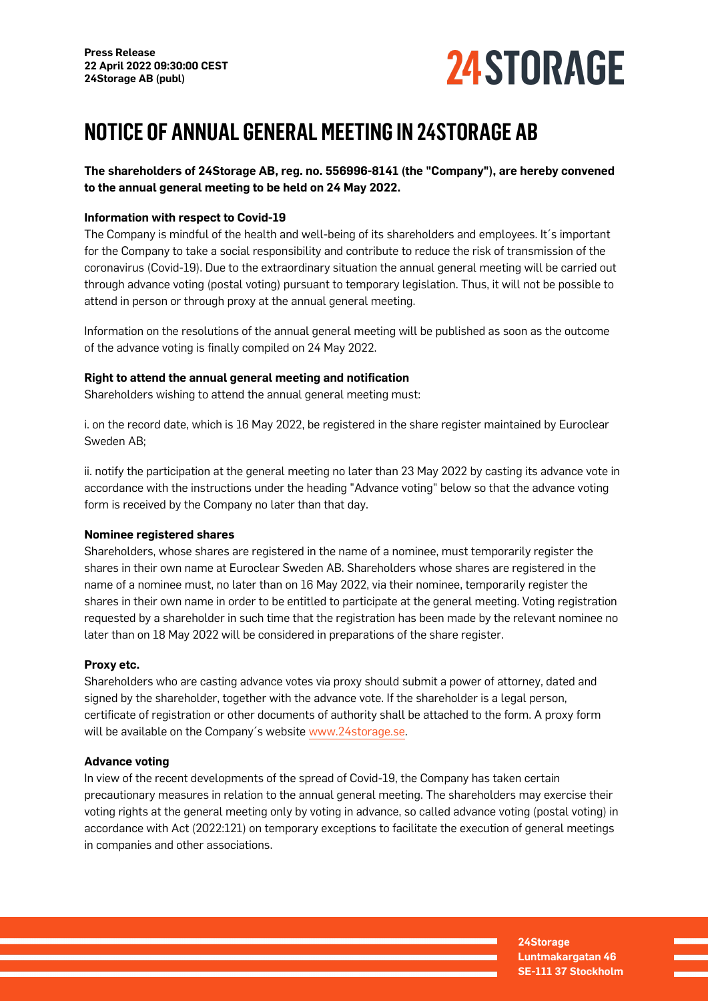

# **NOTICE OF ANNUAL GENERAL MEETING IN 24STORAGE AB**

**The shareholders of 24Storage AB, reg. no. 556996-8141 (the "Company"), are hereby convened to the annual general meeting to be held on 24 May 2022.**

## **Information with respect to Covid-19**

The Company is mindful of the health and well-being of its shareholders and employees. It´s important for the Company to take a social responsibility and contribute to reduce the risk of transmission of the coronavirus (Covid-19). Due to the extraordinary situation the annual general meeting will be carried out through advance voting (postal voting) pursuant to temporary legislation. Thus, it will not be possible to attend in person or through proxy at the annual general meeting.

Information on the resolutions of the annual general meeting will be published as soon as the outcome of the advance voting is finally compiled on 24 May 2022.

## **Right to attend the annual general meeting and notification**

Shareholders wishing to attend the annual general meeting must:

i. on the record date, which is 16 May 2022, be registered in the share register maintained by Euroclear Sweden AB;

ii. notify the participation at the general meeting no later than 23 May 2022 by casting its advance vote in accordance with the instructions under the heading "Advance voting" below so that the advance voting form is received by the Company no later than that day.

## **Nominee registered shares**

Shareholders, whose shares are registered in the name of a nominee, must temporarily register the shares in their own name at Euroclear Sweden AB. Shareholders whose shares are registered in the name of a nominee must, no later than on 16 May 2022, via their nominee, temporarily register the shares in their own name in order to be entitled to participate at the general meeting. Voting registration requested by a shareholder in such time that the registration has been made by the relevant nominee no later than on 18 May 2022 will be considered in preparations of the share register.

## **Proxy etc.**

Shareholders who are casting advance votes via proxy should submit a power of attorney, dated and signed by the shareholder, together with the advance vote. If the shareholder is a legal person, certificate of registration or other documents of authority shall be attached to the form. A proxy form will be available on the Company's website [www.24storage.se.](http://www.24storage.se/)

# **Advance voting**

In view of the recent developments of the spread of Covid-19, the Company has taken certain precautionary measures in relation to the annual general meeting. The shareholders may exercise their voting rights at the general meeting only by voting in advance, so called advance voting (postal voting) in accordance with Act (2022:121) on temporary exceptions to facilitate the execution of general meetings in companies and other associations.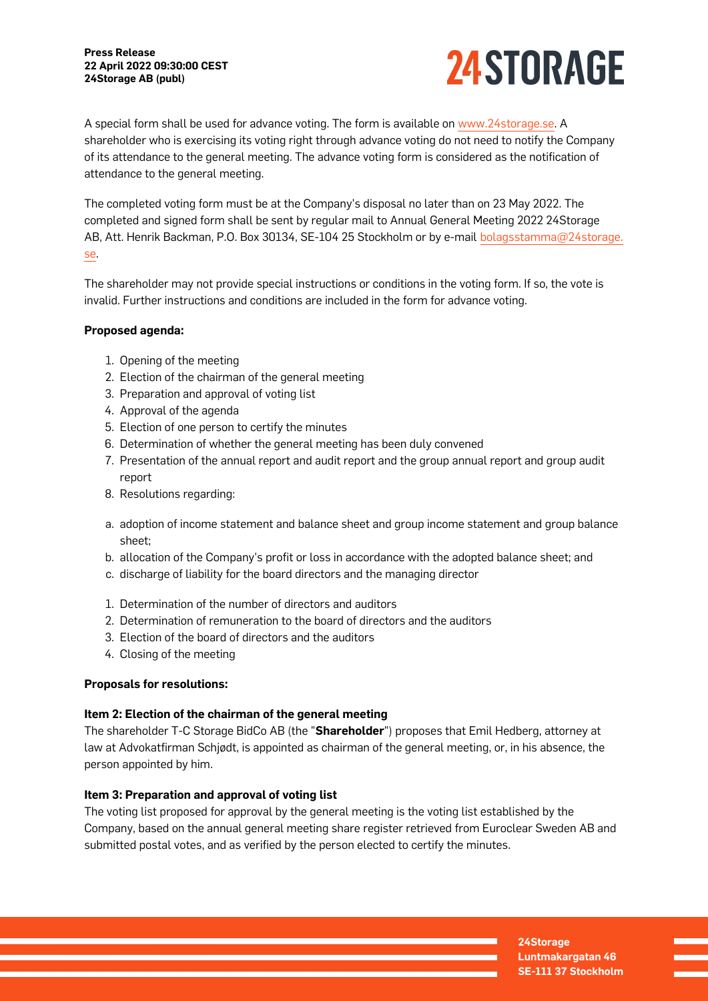

A special form shall be used for advance voting. The form is available on [www.24storage.se](http://www.24storage.se). A shareholder who is exercising its voting right through advance voting do not need to notify the Company of its attendance to the general meeting. The advance voting form is considered as the notification of attendance to the general meeting.

The completed voting form must be at the Company's disposal no later than on 23 May 2022. The completed and signed form shall be sent by regular mail to Annual General Meeting 2022 24Storage AB, Att. Henrik Backman, P.O. Box 30134, SE-104 25 Stockholm or by e-mail [bolagsstamma@24storage.](mailto:bolagsstamma@24storage.se) [se.](mailto:bolagsstamma@24storage.se)

The shareholder may not provide special instructions or conditions in the voting form. If so, the vote is invalid. Further instructions and conditions are included in the form for advance voting.

## **Proposed agenda:**

- 1. Opening of the meeting
- 2. Election of the chairman of the general meeting
- 3. Preparation and approval of voting list
- 4. Approval of the agenda
- 5. Election of one person to certify the minutes
- 6. Determination of whether the general meeting has been duly convened
- 7. Presentation of the annual report and audit report and the group annual report and group audit report
- 8. Resolutions regarding:
- a. adoption of income statement and balance sheet and group income statement and group balance sheet;
- b. allocation of the Company's profit or loss in accordance with the adopted balance sheet; and
- c. discharge of liability for the board directors and the managing director
- 1. Determination of the number of directors and auditors
- 2. Determination of remuneration to the board of directors and the auditors
- 3. Election of the board of directors and the auditors
- 4. Closing of the meeting

#### **Proposals for resolutions:**

#### **Item 2: Election of the chairman of the general meeting**

The shareholder T-C Storage BidCo AB (the "**Shareholder**") proposes that Emil Hedberg, attorney at law at Advokatfirman Schjødt, is appointed as chairman of the general meeting, or, in his absence, the person appointed by him.

## **Item 3: Preparation and approval of voting list**

The voting list proposed for approval by the general meeting is the voting list established by the Company, based on the annual general meeting share register retrieved from Euroclear Sweden AB and submitted postal votes, and as verified by the person elected to certify the minutes.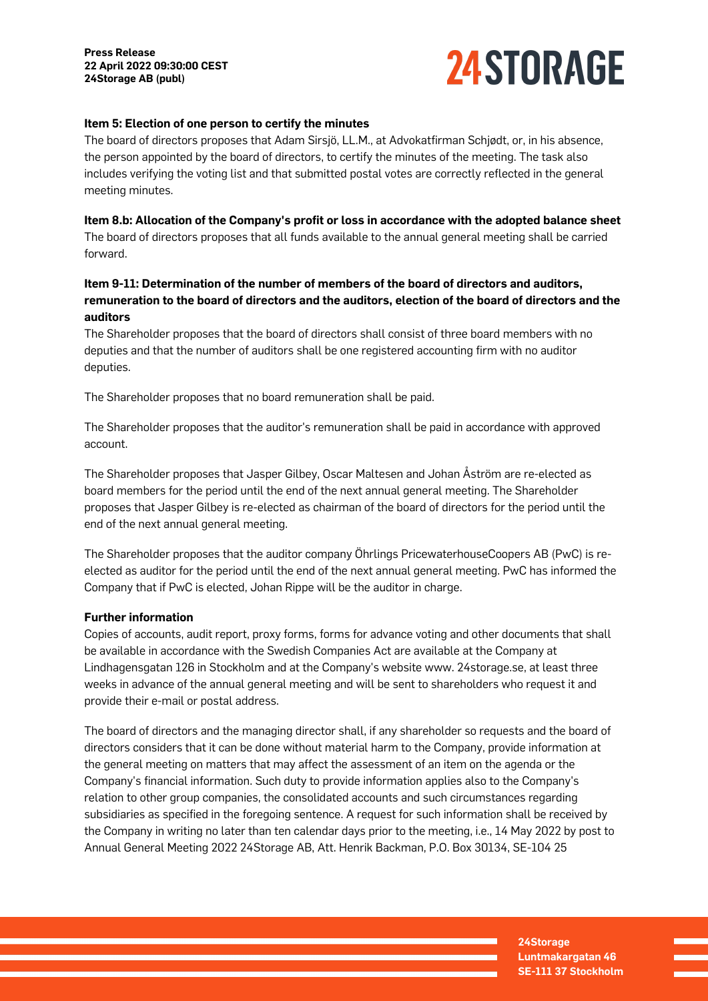

#### **Item 5: Election of one person to certify the minutes**

The board of directors proposes that Adam Sirsjö, LL.M., at Advokatfirman Schjødt, or, in his absence, the person appointed by the board of directors, to certify the minutes of the meeting. The task also includes verifying the voting list and that submitted postal votes are correctly reflected in the general meeting minutes.

**Item 8.b: Allocation of the Company's profit or loss in accordance with the adopted balance sheet** The board of directors proposes that all funds available to the annual general meeting shall be carried forward.

# **Item 9-11: Determination of the number of members of the board of directors and auditors, remuneration to the board of directors and the auditors, election of the board of directors and the auditors**

The Shareholder proposes that the board of directors shall consist of three board members with no deputies and that the number of auditors shall be one registered accounting firm with no auditor deputies.

The Shareholder proposes that no board remuneration shall be paid.

The Shareholder proposes that the auditor's remuneration shall be paid in accordance with approved account.

The Shareholder proposes that Jasper Gilbey, Oscar Maltesen and Johan Åström are re-elected as board members for the period until the end of the next annual general meeting. The Shareholder proposes that Jasper Gilbey is re-elected as chairman of the board of directors for the period until the end of the next annual general meeting.

The Shareholder proposes that the auditor company Öhrlings PricewaterhouseCoopers AB (PwC) is reelected as auditor for the period until the end of the next annual general meeting. PwC has informed the Company that if PwC is elected, Johan Rippe will be the auditor in charge.

#### **Further information**

Copies of accounts, audit report, proxy forms, forms for advance voting and other documents that shall be available in accordance with the Swedish Companies Act are available at the Company at Lindhagensgatan 126 in Stockholm and at the Company's website www. 24storage.se, at least three weeks in advance of the annual general meeting and will be sent to shareholders who request it and provide their e-mail or postal address.

The board of directors and the managing director shall, if any shareholder so requests and the board of directors considers that it can be done without material harm to the Company, provide information at the general meeting on matters that may affect the assessment of an item on the agenda or the Company's financial information. Such duty to provide information applies also to the Company's relation to other group companies, the consolidated accounts and such circumstances regarding subsidiaries as specified in the foregoing sentence. A request for such information shall be received by the Company in writing no later than ten calendar days prior to the meeting, i.e., 14 May 2022 by post to Annual General Meeting 2022 24Storage AB, Att. Henrik Backman, P.O. Box 30134, SE-104 25